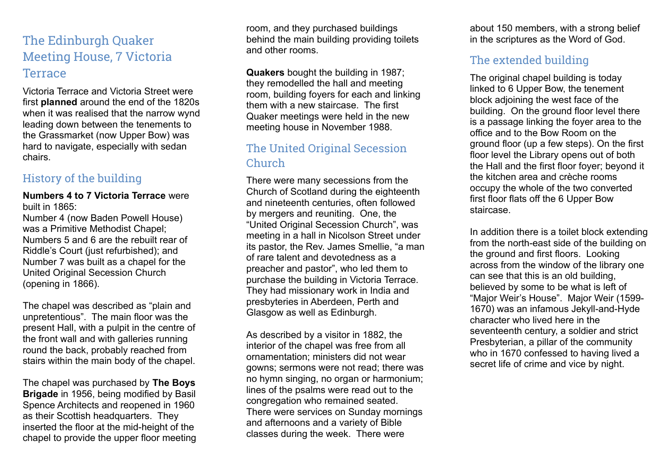# The Edinburgh Quaker Meeting House, 7 Victoria Terrace

Victoria Terrace and Victoria Street were first **planned** around the end of the 1820s when it was realised that the narrow wynd leading down between the tenements to the Grassmarket (now Upper Bow) was hard to navigate, especially with sedan chairs.

#### History of the building

#### **Numbers 4 to 7 Victoria Terrace** were built in 1865:

Number 4 (now Baden Powell House) was a Primitive Methodist Chapel; Numbers 5 and 6 are the rebuilt rear of Riddle's Court (just refurbished); and Number 7 was built as a chapel for the United Original Secession Church (opening in 1866).

The chapel was described as "plain and unpretentious". The main floor was the present Hall, with a pulpit in the centre of the front wall and with galleries running round the back, probably reached from stairs within the main body of the chapel.

The chapel was purchased by **The Boys Brigade** in 1956, being modified by Basil Spence Architects and reopened in 1960 as their Scottish headquarters. They inserted the floor at the mid-height of the chapel to provide the upper floor meeting room, and they purchased buildings behind the main building providing toilets and other rooms.

**Quakers** bought the building in 1987; they remodelled the hall and meeting room, building foyers for each and linking them with a new staircase. The first Quaker meetings were held in the new meeting house in November 1988.

## The United Original Secession Church

There were many secessions from the Church of Scotland during the eighteenth and nineteenth centuries, often followed by mergers and reuniting. One, the "United Original Secession Church", was meeting in a hall in Nicolson Street under its pastor, the Rev. James Smellie, "a man of rare talent and devotedness as a preacher and pastor", who led them to purchase the building in Victoria Terrace. They had missionary work in India and presbyteries in Aberdeen, Perth and Glasgow as well as Edinburgh.

As described by a visitor in 1882, the interior of the chapel was free from all ornamentation; ministers did not wear gowns; sermons were not read; there was no hymn singing, no organ or harmonium; lines of the psalms were read out to the congregation who remained seated. There were services on Sunday mornings and afternoons and a variety of Bible classes during the week. There were

about 150 members, with a strong belief in the scriptures as the Word of God.

### The extended building

The original chapel building is today linked to 6 Upper Bow, the tenement block adjoining the west face of the building. On the ground floor level there is a passage linking the foyer area to the office and to the Bow Room on the ground floor (up a few steps). On the first floor level the Library opens out of both the Hall and the first floor foyer; beyond it the kitchen area and crèche rooms occupy the whole of the two converted first floor flats off the 6 Upper Bow staircase.

In addition there is a toilet block extending from the north-east side of the building on the ground and first floors. Looking across from the window of the library one can see that this is an old building, believed by some to be what is left of "Major Weir's House". Major Weir (1599- 1670) was an infamous Jekyll-and-Hyde character who lived here in the seventeenth century, a soldier and strict Presbyterian, a pillar of the community who in 1670 confessed to having lived a secret life of crime and vice by night.